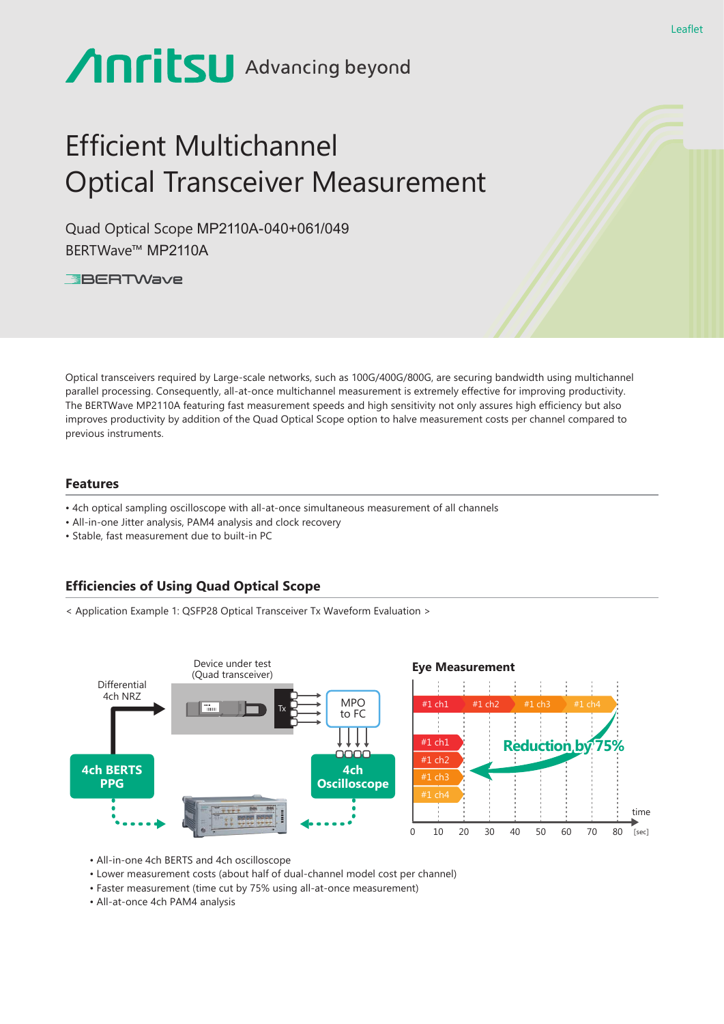# **Anritsu** Advancing beyond

## Efficient Multichannel Optical Transceiver Measurement

Quad Optical Scope MP2110A-040+061/049 BERTWave™ MP2110A

**EBERTWave** 

Optical transceivers required by Large-scale networks, such as 100G/400G/800G, are securing bandwidth using multichannel parallel processing. Consequently, all-at-once multichannel measurement is extremely effective for improving productivity. The BERTWave MP2110A featuring fast measurement speeds and high sensitivity not only assures high efficiency but also improves productivity by addition of the Quad Optical Scope option to halve measurement costs per channel compared to previous instruments.

### **Features**

- 4ch optical sampling oscilloscope with all-at-once simultaneous measurement of all channels
- All-in-one Jitter analysis, PAM4 analysis and clock recovery
- Stable, fast measurement due to built-in PC

### **Efficiencies of Using Quad Optical Scope**

< Application Example 1: QSFP28 Optical Transceiver Tx Waveform Evaluation >



• All-in-one 4ch BERTS and 4ch oscilloscope

- Lower measurement costs (about half of dual-channel model cost per channel)
- Faster measurement (time cut by 75% using all-at-once measurement)
- All-at-once 4ch PAM4 analysis

Leaflet